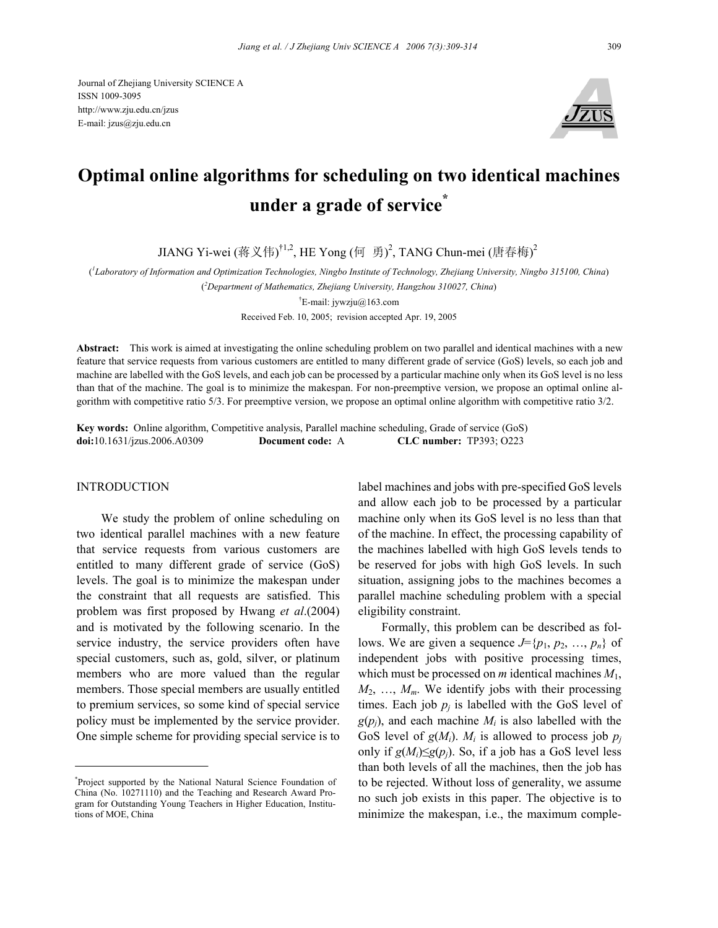Journal of Zhejiang University SCIENCE A ISSN 1009-3095 http://www.zju.edu.cn/jzus E-mail: jzus@zju.edu.cn



# **Optimal online algorithms for scheduling on two identical machines under a grade of service\***

JIANG Yi-wei (蒋义伟) $^{\dagger1,2}$ , HE Yong (何 勇) $^2$ , TANG Chun-mei (唐春梅) $^2$ 

( *1 Laboratory of Information and Optimization Technologies, Ningbo Institute of Technology, Zhejiang University, Ningbo 315100, China*)

( *2 Department of Mathematics, Zhejiang University, Hangzhou 310027, China*)

† E-mail: jywzju@163.com

Received Feb. 10, 2005; revision accepted Apr. 19, 2005

**Abstract:** This work is aimed at investigating the online scheduling problem on two parallel and identical machines with a new feature that service requests from various customers are entitled to many different grade of service (GoS) levels, so each job and machine are labelled with the GoS levels, and each job can be processed by a particular machine only when its GoS level is no less than that of the machine. The goal is to minimize the makespan. For non-preemptive version, we propose an optimal online algorithm with competitive ratio 5/3. For preemptive version, we propose an optimal online algorithm with competitive ratio 3/2.

**Key words:** Online algorithm, Competitive analysis, Parallel machine scheduling, Grade of service (GoS) **doi:**10.1631/jzus.2006.A0309 **Document code:** A **CLC number:** TP393; O223

### **INTRODUCTION**

We study the problem of online scheduling on two identical parallel machines with a new feature that service requests from various customers are entitled to many different grade of service (GoS) levels. The goal is to minimize the makespan under the constraint that all requests are satisfied. This problem was first proposed by Hwang *et al*.(2004) and is motivated by the following scenario. In the service industry, the service providers often have special customers, such as, gold, silver, or platinum members who are more valued than the regular members. Those special members are usually entitled to premium services, so some kind of special service policy must be implemented by the service provider. One simple scheme for providing special service is to

label machines and jobs with pre-specified GoS levels and allow each job to be processed by a particular machine only when its GoS level is no less than that of the machine. In effect, the processing capability of the machines labelled with high GoS levels tends to be reserved for jobs with high GoS levels. In such situation, assigning jobs to the machines becomes a parallel machine scheduling problem with a special eligibility constraint.

Formally, this problem can be described as follows. We are given a sequence  $J=\{p_1, p_2, ..., p_n\}$  of independent jobs with positive processing times, which must be processed on *m* identical machines *M*1, *M*2, …, *Mm*. We identify jobs with their processing times. Each job  $p_i$  is labelled with the GoS level of  $g(p_i)$ , and each machine  $M_i$  is also labelled with the GoS level of  $g(M_i)$ .  $M_i$  is allowed to process job  $p_i$ only if  $g(M<sub>i</sub>)≤g(p<sub>i</sub>)$ . So, if a job has a GoS level less than both levels of all the machines, then the job has to be rejected. Without loss of generality, we assume no such job exists in this paper. The objective is to minimize the makespan, i.e., the maximum comple-

<sup>\*</sup> Project supported by the National Natural Science Foundation of China (No. 10271110) and the Teaching and Research Award Program for Outstanding Young Teachers in Higher Education, Institutions of MOE, China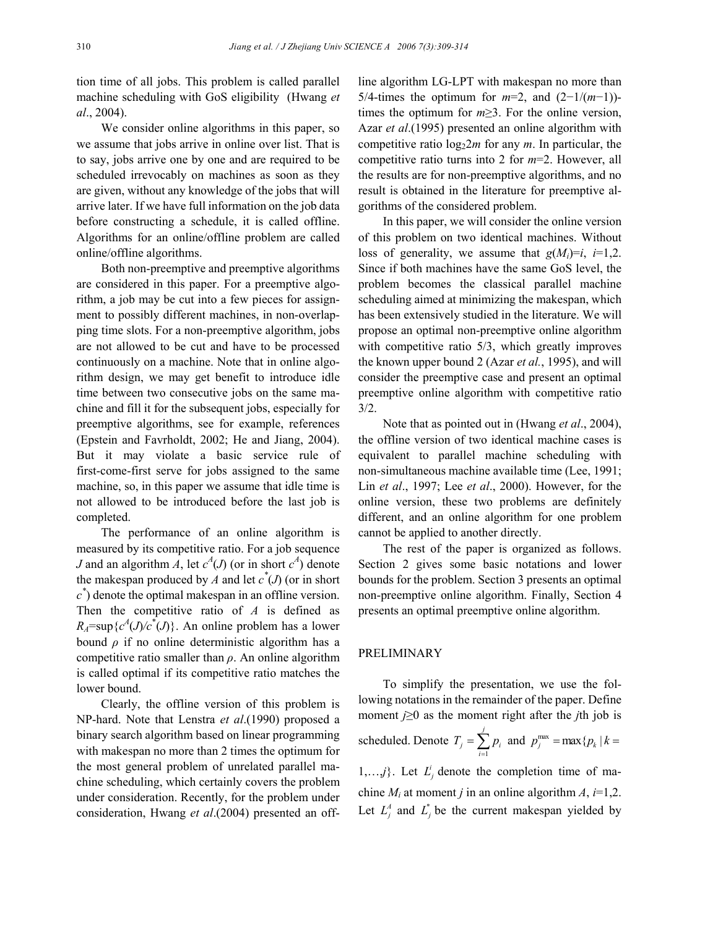tion time of all jobs. This problem is called parallel machine scheduling with GoS eligibility (Hwang *et al*., 2004).

We consider online algorithms in this paper, so we assume that jobs arrive in online over list. That is to say, jobs arrive one by one and are required to be scheduled irrevocably on machines as soon as they are given, without any knowledge of the jobs that will arrive later. If we have full information on the job data before constructing a schedule, it is called offline. Algorithms for an online/offline problem are called online/offline algorithms.

Both non-preemptive and preemptive algorithms are considered in this paper. For a preemptive algorithm, a job may be cut into a few pieces for assignment to possibly different machines, in non-overlapping time slots. For a non-preemptive algorithm, jobs are not allowed to be cut and have to be processed continuously on a machine. Note that in online algorithm design, we may get benefit to introduce idle time between two consecutive jobs on the same machine and fill it for the subsequent jobs, especially for preemptive algorithms, see for example, references (Epstein and Favrholdt, 2002; He and Jiang, 2004). But it may violate a basic service rule of first-come-first serve for jobs assigned to the same machine, so, in this paper we assume that idle time is not allowed to be introduced before the last job is completed.

The performance of an online algorithm is measured by its competitive ratio. For a job sequence *J* and an algorithm *A*, let  $c^A$ (*J*) (or in short  $c^A$ ) denote the makespan produced by *A* and let  $c^*(J)$  (or in short *c \** ) denote the optimal makespan in an offline version. Then the competitive ratio of *A* is defined as  $R_A$ =sup $\{c^A(J)/c^*(J)\}$ . An online problem has a lower bound  $\rho$  if no online deterministic algorithm has a competitive ratio smaller than *ρ*. An online algorithm is called optimal if its competitive ratio matches the lower bound.

Clearly, the offline version of this problem is NP-hard. Note that Lenstra *et al*.(1990) proposed a binary search algorithm based on linear programming with makespan no more than 2 times the optimum for the most general problem of unrelated parallel machine scheduling, which certainly covers the problem under consideration. Recently, for the problem under consideration, Hwang *et al*.(2004) presented an offline algorithm LG-LPT with makespan no more than 5/4-times the optimum for *m*=2, and (2−1/(*m*−1)) times the optimum for *m*≥3. For the online version, Azar *et al*.(1995) presented an online algorithm with competitive ratio  $log_22m$  for any m. In particular, the competitive ratio turns into 2 for *m*=2. However, all the results are for non-preemptive algorithms, and no result is obtained in the literature for preemptive algorithms of the considered problem.

In this paper, we will consider the online version of this problem on two identical machines. Without loss of generality, we assume that  $g(M_i)=i$ ,  $i=1,2$ . Since if both machines have the same GoS level, the problem becomes the classical parallel machine scheduling aimed at minimizing the makespan, which has been extensively studied in the literature. We will propose an optimal non-preemptive online algorithm with competitive ratio 5/3, which greatly improves the known upper bound 2 (Azar *et al.*, 1995), and will consider the preemptive case and present an optimal preemptive online algorithm with competitive ratio 3/2.

Note that as pointed out in (Hwang *et al*., 2004), the offline version of two identical machine cases is equivalent to parallel machine scheduling with non-simultaneous machine available time (Lee, 1991; Lin *et al*., 1997; Lee *et al*., 2000). However, for the online version, these two problems are definitely different, and an online algorithm for one problem cannot be applied to another directly.

The rest of the paper is organized as follows. Section 2 gives some basic notations and lower bounds for the problem. Section 3 presents an optimal non-preemptive online algorithm. Finally, Section 4 presents an optimal preemptive online algorithm.

## PRELIMINARY

To simplify the presentation, we use the following notations in the remainder of the paper. Define moment *j*≥0 as the moment right after the *j*th job is scheduled. Denote  $T_j = \sum_{i=1}^j$  $j = \sum_{i=1} P_i$  $T_i = \sum p$  $=\sum_{i=1}^{n} p_i$  and  $p_j^{\max} = \max\{p_k \mid k\}$ 1,...,*j*}. Let  $L^i_j$  denote the completion time of ma-

chine  $M_i$  at moment *j* in an online algorithm  $A$ ,  $i=1,2$ . Let  $L_j^A$  and  $L_j^*$  be the current makespan yielded by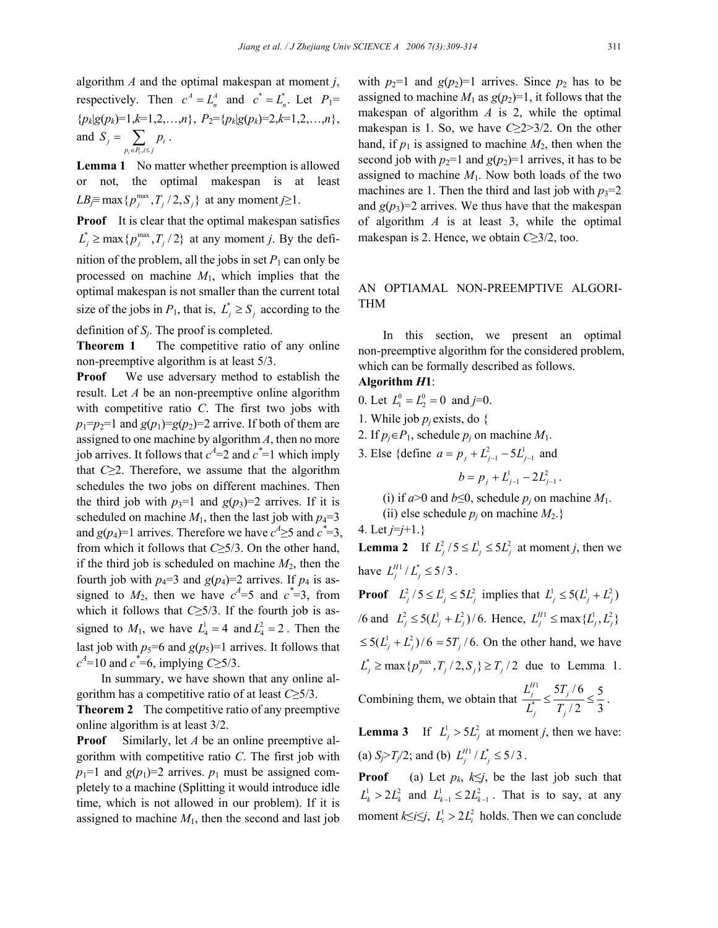algorithm *A* and the optimal makespan at moment *j*, respectively. Then  $c^A = L_n^A$  and  $c^* = L_n^*$ . Let  $P_1 =$  ${p_k|g(p_k)=1, k=1,2,...,n}, P_2={p_k|g(p_k)=2, k=1,2,...,n},$ and  $j = \sum_{p_i \in P_1, i \leq j} P_i$  $S_i = \sum p$  $=\sum_{p_i\in P_i, i\leq j} p_i$ .

**Lemma 1** No matter whether preemption is allowed or not, the optimal makespan is at least  $LB\equiv \max\{p_i^{\max}, T_i/2, S_i\}$  at any moment  $j\geq 1$ .

**Proof** It is clear that the optimal makespan satisfies  $L^*$   $\geq$  max { $p_i^{\text{max}}$ ,  $T_i$  / 2} at any moment *j*. By the definition of the problem, all the jobs in set  $P_1$  can only be processed on machine *M*1, which implies that the optimal makespan is not smaller than the current total size of the jobs in  $P_1$ , that is,  $L_j^* \geq S_j$  according to the

definition of *Sj*. The proof is completed.

**Theorem 1** The competitive ratio of any online non-preemptive algorithm is at least 5/3.

**Proof** We use adversary method to establish the result. Let *A* be an non-preemptive online algorithm with competitive ratio *C*. The first two jobs with  $p_1=p_2=1$  and  $g(p_1)=g(p_2)=2$  arrive. If both of them are assigned to one machine by algorithm *A*, then no more job arrives. It follows that  $c^4 = 2$  and  $c^* = 1$  which imply that *C*≥2. Therefore, we assume that the algorithm schedules the two jobs on different machines. Then the third job with  $p_3=1$  and  $g(p_3)=2$  arrives. If it is scheduled on machine  $M_1$ , then the last job with  $p_4=3$ and *g*(*p*<sub>4</sub>)=1 arrives. Therefore we have  $c^4 \ge 5$  and  $c^* = 3$ , from which it follows that *C*≥5/3. On the other hand, if the third job is scheduled on machine  $M_2$ , then the fourth job with  $p_4=3$  and  $g(p_4)=2$  arrives. If  $p_4$  is assigned to  $M_2$ , then we have  $c^4 = 5$  and  $c^* = 3$ , from which it follows that *C*≥5/3. If the fourth job is assigned to  $M_1$ , we have  $L_4^1 = 4$  and  $L_4^2 = 2$ . Then the last job with  $p_5$ =6 and  $g(p_5)$ =1 arrives. It follows that  $c^4$ =10 and  $c^*$ =6, implying *C*≥5/3.

In summary, we have shown that any online algorithm has a competitive ratio of at least *C*≥5/3. **Theorem 2** The competitive ratio of any preemptive online algorithm is at least 3/2.

**Proof** Similarly, let *A* be an online preemptive algorithm with competitive ratio *C*. The first job with  $p_1$ =1 and *g*( $p_1$ )=2 arrives.  $p_1$  must be assigned completely to a machine (Splitting it would introduce idle time, which is not allowed in our problem). If it is assigned to machine  $M_1$ , then the second and last job

with  $p_2=1$  and  $g(p_2)=1$  arrives. Since  $p_2$  has to be assigned to machine  $M_1$  as  $g(p_2)=1$ , it follows that the makespan of algorithm *A* is 2, while the optimal makespan is 1. So, we have *C*≥2>3/2. On the other hand, if  $p_1$  is assigned to machine  $M_2$ , then when the second job with  $p_2=1$  and  $g(p_2)=1$  arrives, it has to be assigned to machine *M*1. Now both loads of the two machines are 1. Then the third and last job with  $p_3=2$ and  $g(p_3)=2$  arrives. We thus have that the makespan of algorithm *A* is at least 3, while the optimal makespan is 2. Hence, we obtain *C*≥3/2, too.

## AN OPTIAMAL NON-PREEMPTIVE ALGORI-THM

In this section, we present an optimal non-preemptive algorithm for the considered problem, which can be formally described as follows.

## **Algorithm** *H***1**:

0. Let 
$$
L_1^0 = L_2^0 = 0
$$
 and  $j=0$ .

- 1. While job  $p_i$  exists, do {
- 2. If  $p_j \in P_1$ , schedule  $p_j$  on machine  $M_1$ .

3. Else {define 
$$
a = p_j + L_{j-1}^2 - 5L_{j-1}^1
$$
 and

$$
b = p_j + L_{j-1}^1 - 2L_{j-1}^2.
$$

(i) if  $a > 0$  and  $b \le 0$ , schedule  $p_i$  on machine  $M_1$ .

(ii) else schedule  $p_i$  on machine  $M_2$ .}

4. Let  $j=j+1.$ }

**Lemma 2** If  $L_i^2 / 5 \le L_i^1 \le 5L_i^2$  at moment *j*, then we have  $L_i^{H1}/L_i^* \leq 5/3$ .

**Proof**  $L_i^2 / 5 \le L_i^1 \le 5L_i^2$  implies that  $L_i^1 \le 5(L_i^1 + L_i^2)$ /6 and  $L_i^2 \le 5(L_i^1 + L_i^2)/6$ . Hence,  $L_i^{H_1} \le \max\{L_i^1, L_i^2\}$  $1 \leq 5(L_i^1 + L_i^2)/6 = 5T_i/6$ . On the other hand, we have  $L_j^* \ge \max\{p_j^{\max}, T_j/2, S_j\} \ge T_j/2$  due to Lemma 1.

Combining them, we obtain that 1 \*  $5T_i/6$  5  $/2 - 3$  $J_j^{H1}$  5T<sub>*j*</sub> *j j*  $L_i^{H1}$  57  $L_i^*$   $\top$   $T$  $\leq$   $\frac{\sum_{j=1}^{n} x_j - x_j}{n} \leq \frac{3}{n}$ .

**Lemma 3** If  $L_i^1 > 5L_i^2$  at moment *j*, then we have: (a)  $S_i > T_i/2$ ; and (b)  $L_i^{H_1}/L_i^* \leq 5/3$ .

**Proof** (a) Let  $p_k$ ,  $k \leq j$ , be the last job such that  $L_k^1 > 2L_k^2$  and  $L_{k-1}^1 \leq 2L_{k-1}^2$ . That is to say, at any moment  $k \le i \le j$ ,  $L^1$  >  $2L^2$  holds. Then we can conclude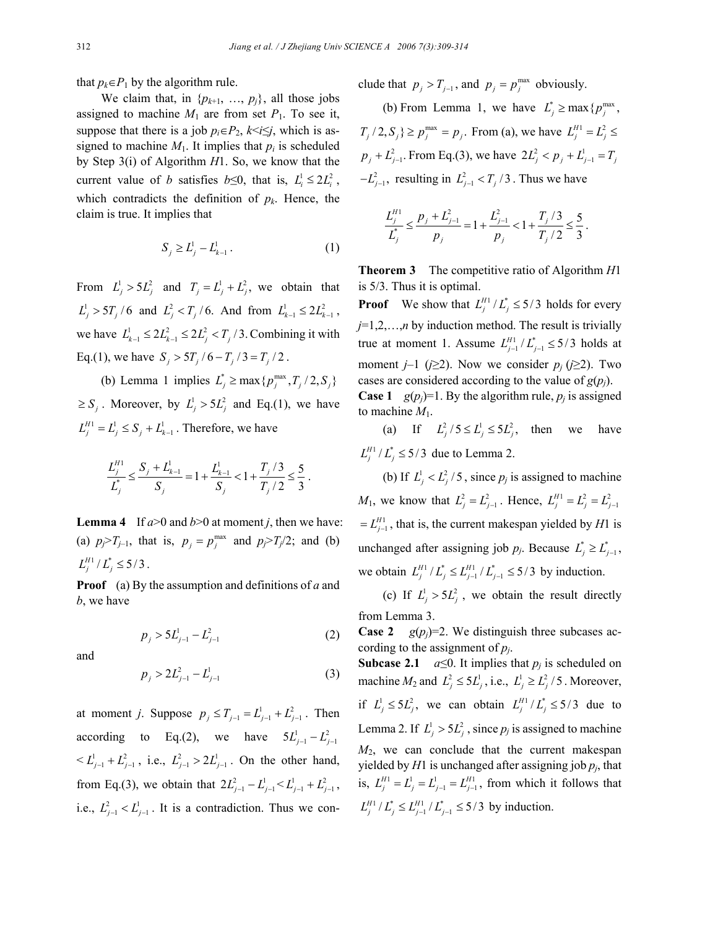that  $p_k \in P_1$  by the algorithm rule.

We claim that, in  $\{p_{k+1}, ..., p_j\}$ , all those jobs assigned to machine  $M_1$  are from set  $P_1$ . To see it, suppose that there is a job  $p_i \in P_2$ ,  $k \le i \le j$ , which is assigned to machine  $M_1$ . It implies that  $p_i$  is scheduled by Step 3(i) of Algorithm *H*1. So, we know that the current value of *b* satisfies *b*≤0, that is,  $L_i^1 \leq 2L_i^2$ , which contradicts the definition of  $p_k$ . Hence, the claim is true. It implies that

$$
S_j \ge L_j^1 - L_{k-1}^1. \tag{1}
$$

From  $L_i^1 > 5L_i^2$  and  $T_i = L_i^1 + L_i^2$ , we obtain that  $L_j^1 > 5T_j / 6$  and  $L_j^2 < T_j / 6$ . And from  $L_{k-1}^1 \leq 2L_{k-1}^2$ , we have  $L_{k-1}^1 \leq 2L_{k-1}^2 \leq 2L_j^2 < T_j/3$ . Combining it with Eq.(1), we have  $S_i > 5T_i / 6 - T_i / 3 = T_i / 2$ .

(b) Lemma 1 implies  $L_i^* \ge \max\{p_i^{\max}, T_i/2, S_i\}$  $\geq S_i$ . Moreover, by  $L_i^1 > 5L_i^2$  and Eq.(1), we have  $L_j^{H1} = L_j^1 \leq S_j + L_{k-1}^1$ . Therefore, we have

$$
\frac{L_j^{H1}}{L_j^*} \le \frac{S_j + L_{k-1}^1}{S_j} = 1 + \frac{L_{k-1}^1}{S_j} < 1 + \frac{T_j/3}{T_j/2} \le \frac{5}{3}.
$$

**Lemma 4** If  $a > 0$  and  $b > 0$  at moment *j*, then we have: (a)  $p_j > T_{j-1}$ , that is,  $p_j = p_j^{\max}$  and  $p_j > T_j/2$ ; and (b)  $L_i^{H1}/L_i^* \leq 5/3$ .

**Proof** (a) By the assumption and definitions of *a* and *b*, we have

$$
p_j > 5L_{j-1}^1 - L_{j-1}^2 \tag{2}
$$

and

$$
p_j > 2L_{j-1}^2 - L_{j-1}^1 \tag{3}
$$

at moment *j*. Suppose  $p_j \le T_{j-1} = L_{j-1}^1 + L_{j-1}^2$ . Then according to Eq.(2), we have  $5L_{j-1}^1 - L_{j-1}^2$  $\langle L_{j-1}^1 + L_{j-1}^2$ , i.e.,  $L_{j-1}^2 > 2L_{j-1}^1$ . On the other hand, from Eq.(3), we obtain that  $2L_{j-1}^2 - L_{j-1}^1 < L_{j-1}^1 + L_{j-1}^2$ , i.e.,  $L_{i-1}^2 < L_{i-1}^1$ . It is a contradiction. Thus we conclude that  $p_j > T_{j-1}$ , and  $p_j = p_j^{\max}$  obviously.

(b) From Lemma 1, we have  $L_i^* \ge \max \{ p_i^{\max}, p_i^{\max} \}$  $T_i / 2, S_i$   $\ge p_i^{\max} = p_i$ . From (a), we have  $L_i^{H_1} = L_i^2$  $p_j + L_{j-1}^2$ . From Eq.(3), we have  $2L_j^2 < p_j + L_{j-1}^1 = T_j$  $-L_{j-1}^2$ , resulting in  $L_{j-1}^2 < T_j/3$ . Thus we have

$$
\frac{L_j^{H1}}{L_j^*} \le \frac{p_j + L_{j-1}^2}{p_j} = 1 + \frac{L_{j-1}^2}{p_j} < 1 + \frac{T_j/3}{T_j/2} \le \frac{5}{3}.
$$

**Theorem 3** The competitive ratio of Algorithm *H*1 is 5/3. Thus it is optimal.

**Proof** We show that  $L_i^{H_1}/L_i^* \leq 5/3$  holds for every *j*=1,2,…,*n* by induction method. The result is trivially true at moment 1. Assume  $L_{j-1}^{H_1}/L_{j-1}^* \leq 5/3$  holds at moment *j*–1 (*j*≥2). Now we consider  $p_j$  (*j*≥2). Two cases are considered according to the value of  $g(p_i)$ . **Case 1** *g*( $p<sub>i</sub>$ )=1. By the algorithm rule,  $p<sub>i</sub>$  is assigned

to machine *M*1.

(a) If  $L_i^2/5 \le L_i^1 \le 5L_i^2$ , then we have  $L_i^{H_1}/L_i^* \leq 5/3$  due to Lemma 2.

(b) If  $L_i^1 < L_i^2 / 5$ , since  $p_i$  is assigned to machine *M*<sub>1</sub>, we know that  $L_j^2 = L_{j-1}^2$ . Hence,  $L_j^{H1} = L_j^2 = L_{j-1}^2$  $= L_{j-1}^{H1}$ , that is, the current makespan yielded by *H*1 is unchanged after assigning job  $p_j$ . Because  $L^* \ge L^*_{j-1}$ , we obtain  $L_j^{H1} / L_j^* \le L_{j-1}^{H1} / L_{j-1}^* \le 5/3$  by induction.

(c) If  $L^1_i > 5L^2_i$ , we obtain the result directly from Lemma 3.

**Case 2** *g*( $p<sub>j</sub>$ )=2. We distinguish three subcases according to the assignment of *pj*.

**Subcase 2.1** *a*≤0. It implies that  $p_j$  is scheduled on machine  $M_2$  and  $L_i^2 \leq 5L_i^1$ , i.e.,  $L_i^1 \geq L_i^2/5$ . Moreover, if  $L_i^1 \leq 5L_i^2$ , we can obtain  $L_i^{H_1}/L_i^* \leq 5/3$  due to Lemma 2. If  $L_i^1 > 5L_i^2$ , since  $p_i$  is assigned to machine *M*2, we can conclude that the current makespan yielded by  $H1$  is unchanged after assigning job  $p_i$ , that is,  $L_j^{H1} = L_j^1 = L_{j-1}^1 = L_{j-1}^{H1}$ , from which it follows that  $L_j^{H1} / L_j^* \leq L_{j-1}^{H1} / L_{j-1}^* \leq 5/3$  by induction.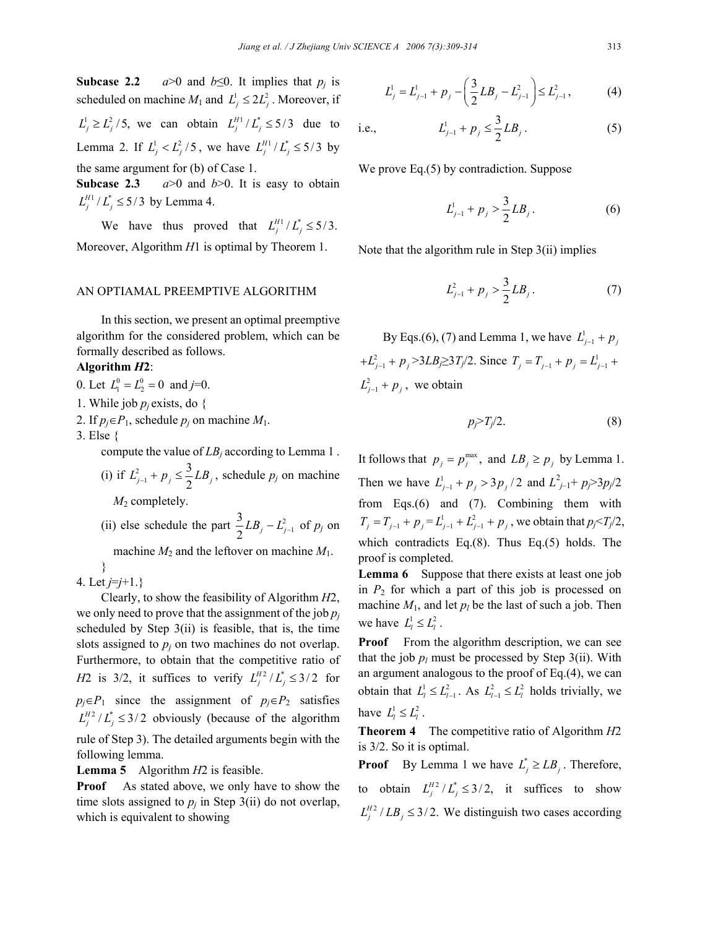**Subcase 2.2** *a*>0 and *b*≤0. It implies that *p<sub>i</sub>* is scheduled on machine  $M_1$  and  $L^1_j \leq 2L^2_j$ . Moreover, if  $L_i^1 \geq L_i^2/5$ , we can obtain  $L_i^{H_1}/L_i^* \leq 5/3$  due to Lemma 2. If  $L_i^1 < L_i^2 / 5$ , we have  $L_i^{H_1} / L_i^* \leq 5/3$  by the same argument for (b) of Case 1.

**Subcase 2.3**  $a>0$  and  $b>0$ . It is easy to obtain  $L_i^{H_1}/L_i^* \leq 5/3$  by Lemma 4.

We have thus proved that  $L_i^{H_1}/L_i^* \leq 5/3$ . Moreover, Algorithm *H*1 is optimal by Theorem 1.

### AN OPTIAMAL PREEMPTIVE ALGORITHM

In this section, we present an optimal preemptive algorithm for the considered problem, which can be formally described as follows.

## **Algorithm** *H***2**:

- 0. Let  $L_1^0 = L_2^0 = 0$  and *j*=0.
- 1. While job  $p_i$  exists, do {
- 2. If  $p_i \in P_1$ , schedule  $p_i$  on machine  $M_1$ .

3. Else {

compute the value of  $LB<sub>i</sub>$  according to Lemma 1.

(i) if  $L_{j-1}^2$  $L_{j-1}^2 + p_j \leq \frac{3}{2} L B_j$ , schedule  $p_j$  on machine *M*2 completely.

(ii) else schedule the part  $\frac{3}{2}LB_{i}-L_{i-1}^{2}$ 3  $\frac{3}{2}LB_j - L_{j-1}^2$  of  $p_j$  on machine  $M_2$  and the leftover on machine  $M_1$ .

} 4. Let  $j=j+1.$ }

Clearly, to show the feasibility of Algorithm *H*2, we only need to prove that the assignment of the job  $p_i$ scheduled by Step 3(ii) is feasible, that is, the time slots assigned to  $p_i$  on two machines do not overlap. Furthermore, to obtain that the competitive ratio of *H*2 is 3/2, it suffices to verify  $L_i^{H2}/L_i^* \leq 3/2$  for  $p_j ∈ P_1$  since the assignment of  $p_j ∈ P_2$  satisfies  $L_i^{H2}/L_i^* \leq 3/2$  obviously (because of the algorithm rule of Step 3). The detailed arguments begin with the following lemma.

**Lemma 5** Algorithm *H*2 is feasible.

**Proof** As stated above, we only have to show the time slots assigned to  $p_i$  in Step 3(ii) do not overlap, which is equivalent to showing

$$
L_j^1 = L_{j-1}^1 + p_j - \left(\frac{3}{2}LB_j - L_{j-1}^2\right) \le L_{j-1}^2,
$$
 (4)

i.e., 
$$
L_{j-1}^1 + p_j \leq \frac{3}{2}LB_j
$$
. (5)

We prove Eq.(5) by contradiction. Suppose

$$
L_{j-1}^1 + p_j > \frac{3}{2} L B_j.
$$
 (6)

Note that the algorithm rule in Step 3(ii) implies

$$
L_{j-1}^2 + p_j > \frac{3}{2} L B_j.
$$
 (7)

By Eqs.(6), (7) and Lemma 1, we have  $L_{j-1}^{1} + p_{j}$  $+L_{i-1}^2 + p_i > 3LB_i \geq 3T_i/2$ . Since  $T_i = T_{i-1} + p_i = L_{i-1}^1 +$  $L_{i-1}^2 + p_i$ , we obtain

$$
p_j > T_j/2. \tag{8}
$$

It follows that  $p_i = p_i^{\max}$ , and  $LB_i \geq p_i$  by Lemma 1. Then we have  $L_{j-1}^1 + p_j > 3p_j/2$  and  $L_{j-1}^2 + p_j > 3p_j/2$ from Eqs.(6) and (7). Combining them with  $T_i = T_{i-1} + p_i = L_{i-1}^1 + L_{i-1}^2 + p_i$ , we obtain that  $p_j < T_j/2$ , which contradicts Eq.(8). Thus Eq.(5) holds. The proof is completed.

**Lemma 6** Suppose that there exists at least one job in  $P_2$  for which a part of this job is processed on machine  $M_1$ , and let  $p_l$  be the last of such a job. Then we have  $L_l^1 \leq L_l^2$ .

**Proof** From the algorithm description, we can see that the job  $p_l$  must be processed by Step 3(ii). With an argument analogous to the proof of Eq.(4), we can obtain that  $L_l^1 \leq L_{l-1}^2$ . As  $L_{l-1}^2 \leq L_l^2$  holds trivially, we have  $L^1_l \leq L^2_l$ .

**Theorem 4** The competitive ratio of Algorithm *H*2 is 3/2. So it is optimal.

**Proof** By Lemma 1 we have  $L_j^* \geq LB_j$ . Therefore, to obtain  $L_j^{H2}/L_j^* \leq 3/2$ , it suffices to show  $L_i^{H2}/LB_i \leq 3/2$ . We distinguish two cases according